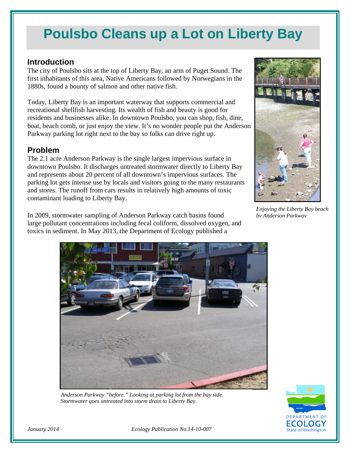# **Poulsbo Cleans up a Lot on Liberty Bay**

#### **Introduction**

The city of Poulsbo sits at the top of Liberty Bay, an arm of Puget Sound. The first inhabitants of this area, Native Americans followed by Norwegians in the 1880s, found a bounty of salmon and other native fish.

Today, Liberty Bay is an important waterway that supports commercial and recreational shellfish harvesting. Its wealth of fish and beauty is good for residents and businesses alike. In downtown Poulsbo, you can shop, fish, dine, boat, beach comb, or just enjoy the view. It's no wonder people put the Anderson Parkway parking lot right next to the bay so folks can drive right up.

### **Problem**

The 2.1 acre Anderson Parkway is the single largest impervious surface in downtown Poulsbo. It discharges untreated stormwater directly to Liberty Bay and represents about 20 percent of all downtown's impervious surfaces. The parking lot gets intense use by locals and visitors going to the many restaurants and stores. The runoff from cars results in relatively high amounts of toxic contaminant loading to Liberty Bay.

In 2009, stormwater sampling of Anderson Parkway catch basins found large pollutant concentrations including fecal coliform, dissolved oxygen, and toxics in sediment. In May 2013, the Department of Ecology published a



*Enjoying the Liberty Bay beach by Anderson Parkway*



*Anderson Parkway "before." Looking at parking lot from the bay side. Stormwater goes untreated into storm drain to Liberty Bay.*



*January 2014 Ecology Publication No.14-10-007*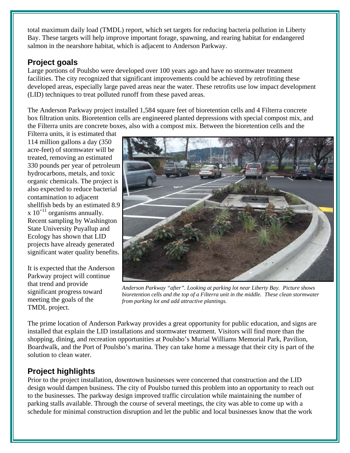total maximum daily load (TMDL) report, which set targets for reducing bacteria pollution in Liberty Bay. These targets will help improve important forage, spawning, and rearing habitat for endangered salmon in the nearshore habitat, which is adjacent to Anderson Parkway.

# **Project goals**

Large portions of Poulsbo were developed over 100 years ago and have no stormwater treatment facilities. The city recognized that significant improvements could be achieved by retrofitting these developed areas, especially large paved areas near the water. These retrofits use low impact development (LID) techniques to treat polluted runoff from these paved areas.

The Anderson Parkway project installed 1,584 square feet of bioretention cells and 4 Filterra concrete box filtration units. Bioretention cells are engineered planted depressions with special compost mix, and the Filterra units are concrete boxes, also with a compost mix. Between the bioretention cells and the

Filterra units, it is estimated that 114 million gallons a day (350 acre-feet) of stormwater will be treated, removing an estimated 330 pounds per year of petroleum hydrocarbons, metals, and toxic organic chemicals. The project is also expected to reduce bacterial contamination to adjacent shellfish beds by an estimated 8.9  $x 10^{+11}$  organisms annually. Recent sampling by Washington State University Puyallup and Ecology has shown that LID projects have already generated significant water quality benefits.

It is expected that the Anderson Parkway project will continue that trend and provide significant progress toward meeting the goals of the TMDL project.



*Anderson Parkway "after". Looking at parking lot near Liberty Bay. Picture shows bioretention cells and the top of a Filterra unit in the middle. These clean stormwater from parking lot and add attractive plantings.*

The prime location of Anderson Parkway provides a great opportunity for public education, and signs are installed that explain the LID installations and stormwater treatment. Visitors will find more than the shopping, dining, and recreation opportunities at Poulsbo's Murial Williams Memorial Park, Pavilion, Boardwalk, and the Port of Poulsbo's marina. They can take home a message that their city is part of the solution to clean water.

# **Project highlights**

Prior to the project installation, downtown businesses were concerned that construction and the LID design would dampen business. The city of Poulsbo turned this problem into an opportunity to reach out to the businesses. The parkway design improved traffic circulation while maintaining the number of parking stalls available. Through the course of several meetings, the city was able to come up with a schedule for minimal construction disruption and let the public and local businesses know that the work